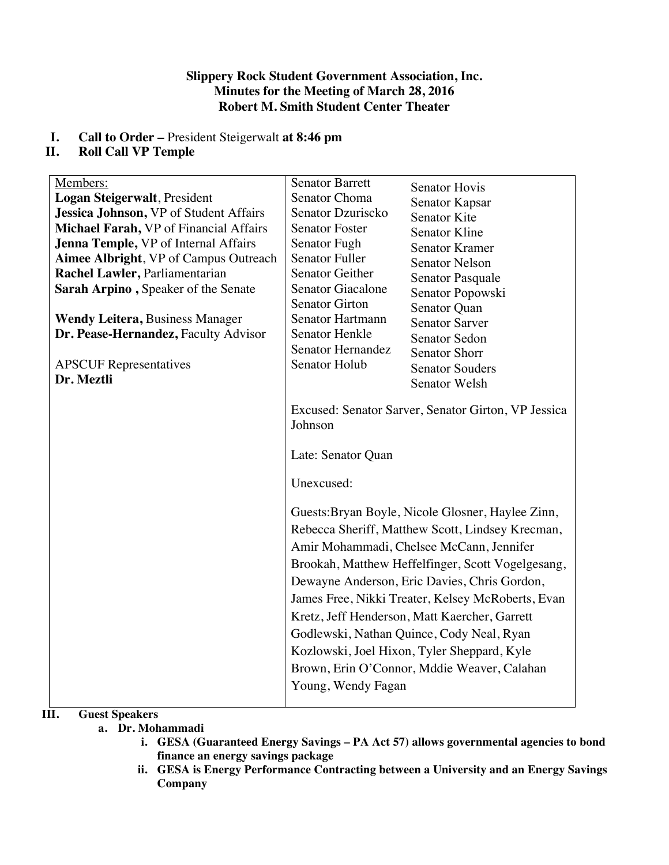# **Slippery Rock Student Government Association, Inc. Minutes for the Meeting of March 28, 2016 Robert M. Smith Student Center Theater**

# **I. Call to Order –** President Steigerwalt **at 8:46 pm**

# **II. Roll Call VP Temple**

| Members:<br>Logan Steigerwalt, President<br>Jessica Johnson, VP of Student Affairs<br>Michael Farah, VP of Financial Affairs<br>Jenna Temple, VP of Internal Affairs<br><b>Aimee Albright, VP of Campus Outreach</b><br>Rachel Lawler, Parliamentarian<br>Sarah Arpino, Speaker of the Senate<br><b>Wendy Leitera, Business Manager</b><br>Dr. Pease-Hernandez, Faculty Advisor<br><b>APSCUF</b> Representatives<br>Dr. Meztli | <b>Senator Barrett</b><br>Senator Choma<br>Senator Dzuriscko<br><b>Senator Foster</b><br>Senator Fugh<br><b>Senator Fuller</b><br>Senator Geither<br><b>Senator Giacalone</b><br><b>Senator Girton</b><br><b>Senator Hartmann</b><br><b>Senator Henkle</b><br>Senator Hernandez<br>Senator Holub                                                                                                                                                                                                                                                                                                                                    | <b>Senator Hovis</b><br>Senator Kapsar<br><b>Senator Kite</b><br><b>Senator Kline</b><br><b>Senator Kramer</b><br><b>Senator Nelson</b><br>Senator Pasquale<br>Senator Popowski<br>Senator Quan<br><b>Senator Sarver</b><br><b>Senator Sedon</b><br><b>Senator Shorr</b><br><b>Senator Souders</b><br>Senator Welsh |
|--------------------------------------------------------------------------------------------------------------------------------------------------------------------------------------------------------------------------------------------------------------------------------------------------------------------------------------------------------------------------------------------------------------------------------|-------------------------------------------------------------------------------------------------------------------------------------------------------------------------------------------------------------------------------------------------------------------------------------------------------------------------------------------------------------------------------------------------------------------------------------------------------------------------------------------------------------------------------------------------------------------------------------------------------------------------------------|---------------------------------------------------------------------------------------------------------------------------------------------------------------------------------------------------------------------------------------------------------------------------------------------------------------------|
|                                                                                                                                                                                                                                                                                                                                                                                                                                | Excused: Senator Sarver, Senator Girton, VP Jessica<br>Johnson<br>Late: Senator Quan<br>Unexcused:<br>Guests: Bryan Boyle, Nicole Glosner, Haylee Zinn,<br>Rebecca Sheriff, Matthew Scott, Lindsey Krecman,<br>Amir Mohammadi, Chelsee McCann, Jennifer<br>Brookah, Matthew Heffelfinger, Scott Vogelgesang,<br>Dewayne Anderson, Eric Davies, Chris Gordon,<br>James Free, Nikki Treater, Kelsey McRoberts, Evan<br>Kretz, Jeff Henderson, Matt Kaercher, Garrett<br>Godlewski, Nathan Quince, Cody Neal, Ryan<br>Kozlowski, Joel Hixon, Tyler Sheppard, Kyle<br>Brown, Erin O'Connor, Mddie Weaver, Calahan<br>Young, Wendy Fagan |                                                                                                                                                                                                                                                                                                                     |

# **III. Guest Speakers**

- **a. Dr. Mohammadi**
	- **i. GESA (Guaranteed Energy Savings – PA Act 57) allows governmental agencies to bond finance an energy savings package**
	- **ii. GESA is Energy Performance Contracting between a University and an Energy Savings Company**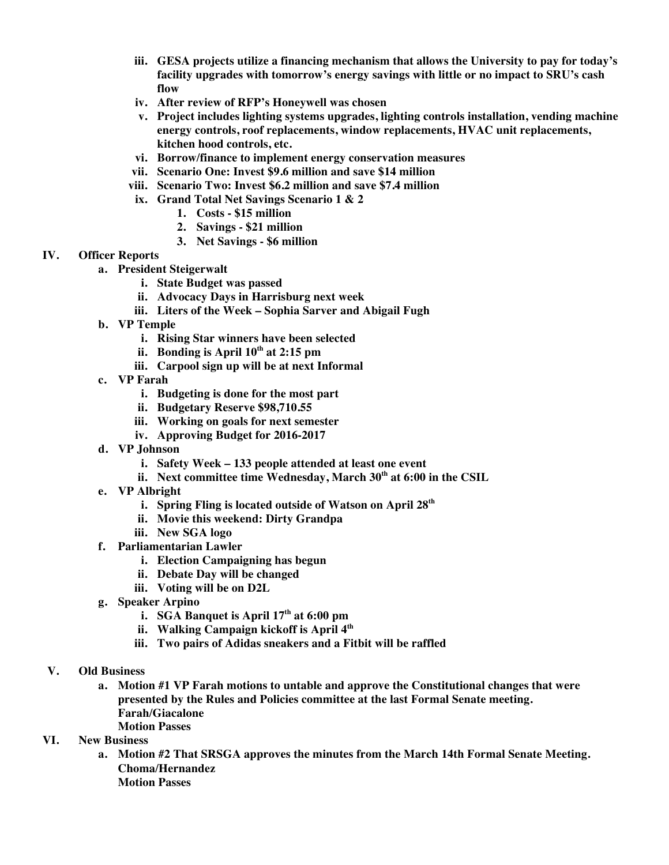- **iii. GESA projects utilize a financing mechanism that allows the University to pay for today's facility upgrades with tomorrow's energy savings with little or no impact to SRU's cash flow**
- **iv. After review of RFP's Honeywell was chosen**
- **v. Project includes lighting systems upgrades, lighting controls installation, vending machine energy controls, roof replacements, window replacements, HVAC unit replacements, kitchen hood controls, etc.**
- **vi. Borrow/finance to implement energy conservation measures**
- **vii. Scenario One: Invest \$9.6 million and save \$14 million**
- **viii. Scenario Two: Invest \$6.2 million and save \$7.4 million**
- **ix. Grand Total Net Savings Scenario 1 & 2**
	- **1. Costs - \$15 million**
	- **2. Savings - \$21 million**
	- **3. Net Savings - \$6 million**

## **IV. Officer Reports**

- **a. President Steigerwalt**
	- **i. State Budget was passed**
	- **ii. Advocacy Days in Harrisburg next week**
	- **iii. Liters of the Week – Sophia Sarver and Abigail Fugh**
- **b. VP Temple**
	- **i. Rising Star winners have been selected**
	- **ii. Bonding is April 10th at 2:15 pm**
	- **iii. Carpool sign up will be at next Informal**
- **c. VP Farah**
	- **i. Budgeting is done for the most part**
	- **ii. Budgetary Reserve \$98,710.55**
	- **iii. Working on goals for next semester**
	- **iv. Approving Budget for 2016-2017**
- **d. VP Johnson**
	- **i. Safety Week – 133 people attended at least one event**
	- **ii. Next committee time Wednesday, March 30th at 6:00 in the CSIL**
- **e. VP Albright**
	- **i. Spring Fling is located outside of Watson on April 28th**
	- **ii. Movie this weekend: Dirty Grandpa**
	- **iii. New SGA logo**
- **f. Parliamentarian Lawler**
	- **i. Election Campaigning has begun**
	- **ii. Debate Day will be changed**
	- **iii. Voting will be on D2L**
- **g. Speaker Arpino**
	- **i. SGA Banquet is April 17th at 6:00 pm**
	- **ii. Walking Campaign kickoff is April 4th**
	- **iii. Two pairs of Adidas sneakers and a Fitbit will be raffled**
- **V. Old Business**
	- **a. Motion #1 VP Farah motions to untable and approve the Constitutional changes that were presented by the Rules and Policies committee at the last Formal Senate meeting. Farah/Giacalone**
		- **Motion Passes**

# **VI. New Business**

**a. Motion #2 That SRSGA approves the minutes from the March 14th Formal Senate Meeting. Choma/Hernandez Motion Passes**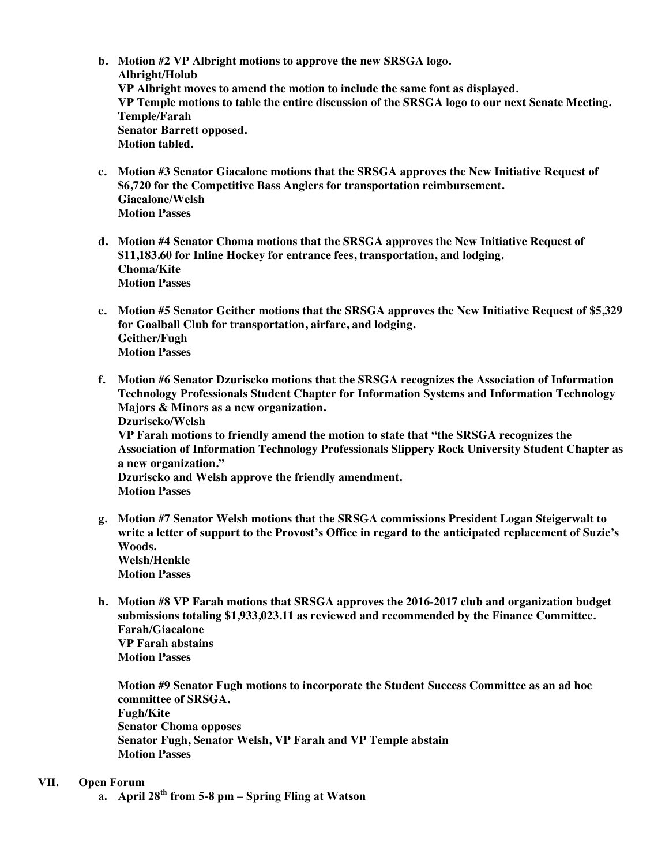- **b. Motion #2 VP Albright motions to approve the new SRSGA logo. Albright/Holub VP Albright moves to amend the motion to include the same font as displayed. VP Temple motions to table the entire discussion of the SRSGA logo to our next Senate Meeting. Temple/Farah Senator Barrett opposed. Motion tabled.**
- **c. Motion #3 Senator Giacalone motions that the SRSGA approves the New Initiative Request of \$6,720 for the Competitive Bass Anglers for transportation reimbursement. Giacalone/Welsh Motion Passes**
- **d. Motion #4 Senator Choma motions that the SRSGA approves the New Initiative Request of \$11,183.60 for Inline Hockey for entrance fees, transportation, and lodging. Choma/Kite Motion Passes**
- **e. Motion #5 Senator Geither motions that the SRSGA approves the New Initiative Request of \$5,329 for Goalball Club for transportation, airfare, and lodging. Geither/Fugh Motion Passes**
- **f. Motion #6 Senator Dzuriscko motions that the SRSGA recognizes the Association of Information Technology Professionals Student Chapter for Information Systems and Information Technology Majors & Minors as a new organization. Dzuriscko/Welsh VP Farah motions to friendly amend the motion to state that "the SRSGA recognizes the Association of Information Technology Professionals Slippery Rock University Student Chapter as a new organization." Dzuriscko and Welsh approve the friendly amendment. Motion Passes**
- **g. Motion #7 Senator Welsh motions that the SRSGA commissions President Logan Steigerwalt to write a letter of support to the Provost's Office in regard to the anticipated replacement of Suzie's Woods. Welsh/Henkle Motion Passes**
- **h. Motion #8 VP Farah motions that SRSGA approves the 2016-2017 club and organization budget submissions totaling \$1,933,023.11 as reviewed and recommended by the Finance Committee. Farah/Giacalone VP Farah abstains Motion Passes**

**Motion #9 Senator Fugh motions to incorporate the Student Success Committee as an ad hoc committee of SRSGA. Fugh/Kite Senator Choma opposes Senator Fugh, Senator Welsh, VP Farah and VP Temple abstain Motion Passes** 

#### **VII. Open Forum**

**a. April 28th from 5-8 pm – Spring Fling at Watson**